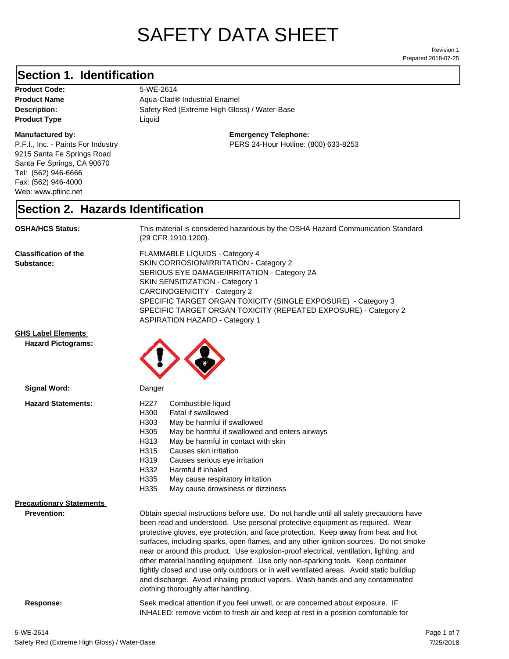# SAFETY DATA SHEET

Prepared 2018-07-25 Revision 1

#### **Section 1. Identification**

**Product Code:** 5-WE-2614 **Product Type Liquid Liquid** 

#### **Manufactured by:**

P.F.I., Inc. - Paints For Industry 9215 Santa Fe Springs Road Santa Fe Springs, CA 90670 Tel: (562) 946-6666 Fax: (562) 946-4000 Web: www.pfiinc.net

Description: **Netable 2018** Safety Red (Extreme High Gloss) / Water-Base **Product Name** Aqua-Clad<sup>®</sup> Industrial Enamel

**Emergency Telephone:**

PERS 24-Hour Hotline: (800) 633-8253

#### **Section 2. Hazards Identification**

**OSHA/HCS Status:** This material is considered hazardous by the OSHA Hazard Communication Standard (29 CFR 1910.1200).

**Classification of the Substance:**

FLAMMABLE LIQUIDS - Category 4 SKIN CORROSION/IRRITATION - Category 2 SERIOUS EYE DAMAGE/IRRITATION - Category 2A SKIN SENSITIZATION - Category 1 CARCINOGENICITY - Category 2 SPECIFIC TARGET ORGAN TOXICITY (SINGLE EXPOSURE) - Category 3 SPECIFIC TARGET ORGAN TOXICITY (REPEATED EXPOSURE) - Category 2 ASPIRATION HAZARD - Category 1

**GHS Label Elements**

**Hazard Pictograms:**



| <b>Signal Word:</b>                                   | Danger                                                                                                                                                                                                                                                                                                                                                                                                                                                                                                                                                                                                                                                                                                                                                   |  |
|-------------------------------------------------------|----------------------------------------------------------------------------------------------------------------------------------------------------------------------------------------------------------------------------------------------------------------------------------------------------------------------------------------------------------------------------------------------------------------------------------------------------------------------------------------------------------------------------------------------------------------------------------------------------------------------------------------------------------------------------------------------------------------------------------------------------------|--|
| <b>Hazard Statements:</b>                             | H227<br>Combustible liquid<br>H300<br>Fatal if swallowed<br>H303<br>May be harmful if swallowed<br>H305<br>May be harmful if swallowed and enters airways<br>H313<br>May be harmful in contact with skin<br>H315<br>Causes skin irritation<br>H319<br>Causes serious eye irritation<br>H332<br>Harmful if inhaled<br>H335<br>May cause respiratory irritation<br>H335<br>May cause drowsiness or dizziness                                                                                                                                                                                                                                                                                                                                               |  |
| <b>Precautionary Statements</b><br><b>Prevention:</b> | Obtain special instructions before use. Do not handle until all safety precautions have<br>been read and understood. Use personal protective equipment as required. Wear<br>protective gloves, eye protection, and face protection. Keep away from heat and hot<br>surfaces, including sparks, open flames, and any other ignition sources. Do not smoke<br>near or around this product. Use explosion-proof electrical, ventilation, lighting, and<br>other material handling equipment. Use only non-sparking tools. Keep container<br>tightly closed and use only outdoors or in well ventilated areas. Avoid static buildiup<br>and discharge. Avoid inhaling product vapors. Wash hands and any contaminated<br>clothing thoroughly after handling. |  |

**Response:** Seek medical attention if you feel unwell, or are concerned about exposure. IF INHALED: remove victim to fresh air and keep at rest in a position comfortable for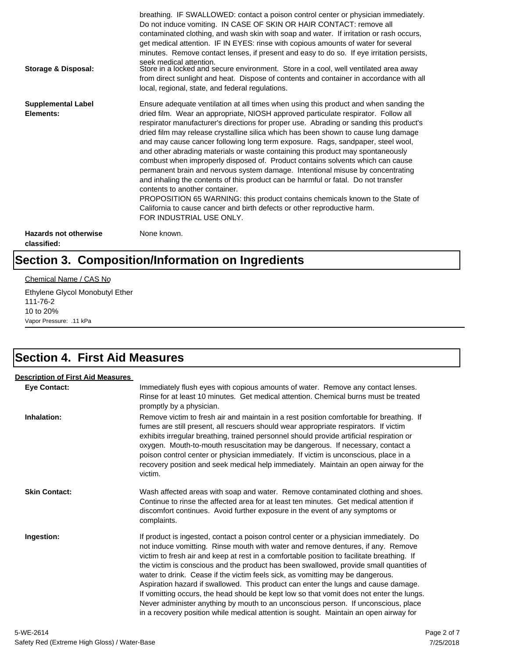| Storage & Disposal:                         | breathing. IF SWALLOWED: contact a poison control center or physician immediately.<br>Do not induce vomiting. IN CASE OF SKIN OR HAIR CONTACT: remove all<br>contaminated clothing, and wash skin with soap and water. If irritation or rash occurs,<br>get medical attention. IF IN EYES: rinse with copious amounts of water for several<br>minutes. Remove contact lenses, if present and easy to do so. If eye irritation persists,<br>seek medical attention.<br>Store in a locked and secure environment. Store in a cool, well ventilated area away<br>from direct sunlight and heat. Dispose of contents and container in accordance with all<br>local, regional, state, and federal regulations.                                                                                                                                                                                                                                                                                                                |
|---------------------------------------------|--------------------------------------------------------------------------------------------------------------------------------------------------------------------------------------------------------------------------------------------------------------------------------------------------------------------------------------------------------------------------------------------------------------------------------------------------------------------------------------------------------------------------------------------------------------------------------------------------------------------------------------------------------------------------------------------------------------------------------------------------------------------------------------------------------------------------------------------------------------------------------------------------------------------------------------------------------------------------------------------------------------------------|
| <b>Supplemental Label</b><br>Elements:      | Ensure adequate ventilation at all times when using this product and when sanding the<br>dried film. Wear an appropriate, NIOSH approved particulate respirator. Follow all<br>respirator manufacturer's directions for proper use. Abrading or sanding this product's<br>dried film may release crystalline silica which has been shown to cause lung damage<br>and may cause cancer following long term exposure. Rags, sandpaper, steel wool,<br>and other abrading materials or waste containing this product may spontaneously<br>combust when improperly disposed of. Product contains solvents which can cause<br>permanent brain and nervous system damage. Intentional misuse by concentrating<br>and inhaling the contents of this product can be harmful or fatal. Do not transfer<br>contents to another container.<br>PROPOSITION 65 WARNING: this product contains chemicals known to the State of<br>California to cause cancer and birth defects or other reproductive harm.<br>FOR INDUSTRIAL USE ONLY. |
| <b>Hazards not otherwise</b><br>classified: | None known.                                                                                                                                                                                                                                                                                                                                                                                                                                                                                                                                                                                                                                                                                                                                                                                                                                                                                                                                                                                                              |

# **Section 3. Composition/Information on Ingredients**

#### Chemical Name / CAS No

Ethylene Glycol Monobutyl Ether 111-76-2 10 to 20% Vapor Pressure: .11 kPa

# **Section 4. First Aid Measures**

| <b>Description of First Aid Measures</b> |                                                                                                                                                                                                                                                                                                                                                                                                                                                                                                                                                                                                                                                                                                                                                                                                                        |
|------------------------------------------|------------------------------------------------------------------------------------------------------------------------------------------------------------------------------------------------------------------------------------------------------------------------------------------------------------------------------------------------------------------------------------------------------------------------------------------------------------------------------------------------------------------------------------------------------------------------------------------------------------------------------------------------------------------------------------------------------------------------------------------------------------------------------------------------------------------------|
| <b>Eye Contact:</b>                      | Immediately flush eyes with copious amounts of water. Remove any contact lenses.<br>Rinse for at least 10 minutes. Get medical attention. Chemical burns must be treated<br>promptly by a physician.                                                                                                                                                                                                                                                                                                                                                                                                                                                                                                                                                                                                                   |
| Inhalation:                              | Remove victim to fresh air and maintain in a rest position comfortable for breathing. If<br>fumes are still present, all rescuers should wear appropriate respirators. If victim<br>exhibits irregular breathing, trained personnel should provide artificial respiration or<br>oxygen. Mouth-to-mouth resuscitation may be dangerous. If necessary, contact a<br>poison control center or physician immediately. If victim is unconscious, place in a<br>recovery position and seek medical help immediately. Maintain an open airway for the<br>victim.                                                                                                                                                                                                                                                              |
| <b>Skin Contact:</b>                     | Wash affected areas with soap and water. Remove contaminated clothing and shoes.<br>Continue to rinse the affected area for at least ten minutes. Get medical attention if<br>discomfort continues. Avoid further exposure in the event of any symptoms or<br>complaints.                                                                                                                                                                                                                                                                                                                                                                                                                                                                                                                                              |
| Ingestion:                               | If product is ingested, contact a poison control center or a physician immediately. Do<br>not induce vomitting. Rinse mouth with water and remove dentures, if any. Remove<br>victim to fresh air and keep at rest in a comfortable position to facilitate breathing. If<br>the victim is conscious and the product has been swallowed, provide small quantities of<br>water to drink. Cease if the victim feels sick, as vomitting may be dangerous.<br>Aspiration hazard if swallowed. This product can enter the lungs and cause damage.<br>If vomitting occurs, the head should be kept low so that vomit does not enter the lungs.<br>Never administer anything by mouth to an unconscious person. If unconscious, place<br>in a recovery position while medical attention is sought. Maintain an open airway for |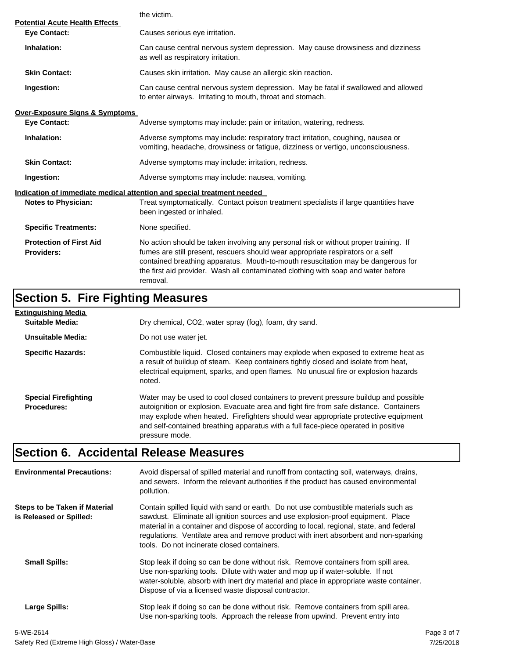|                                                              | the victim.                                                                                                                                                                                                                                                                                                                                                  |  |  |
|--------------------------------------------------------------|--------------------------------------------------------------------------------------------------------------------------------------------------------------------------------------------------------------------------------------------------------------------------------------------------------------------------------------------------------------|--|--|
| <b>Potential Acute Health Effects</b><br><b>Eye Contact:</b> | Causes serious eye irritation.                                                                                                                                                                                                                                                                                                                               |  |  |
| Inhalation:                                                  | Can cause central nervous system depression. May cause drowsiness and dizziness<br>as well as respiratory irritation.                                                                                                                                                                                                                                        |  |  |
| <b>Skin Contact:</b>                                         | Causes skin irritation. May cause an allergic skin reaction.                                                                                                                                                                                                                                                                                                 |  |  |
| Ingestion:                                                   | Can cause central nervous system depression. May be fatal if swallowed and allowed<br>to enter airways. Irritating to mouth, throat and stomach.                                                                                                                                                                                                             |  |  |
| <b>Over-Exposure Signs &amp; Symptoms</b>                    |                                                                                                                                                                                                                                                                                                                                                              |  |  |
| <b>Eye Contact:</b>                                          | Adverse symptoms may include: pain or irritation, watering, redness.                                                                                                                                                                                                                                                                                         |  |  |
| Inhalation:                                                  | Adverse symptoms may include: respiratory tract irritation, coughing, nausea or<br>vomiting, headache, drowsiness or fatigue, dizziness or vertigo, unconsciousness.                                                                                                                                                                                         |  |  |
| <b>Skin Contact:</b>                                         | Adverse symptoms may include: irritation, redness.                                                                                                                                                                                                                                                                                                           |  |  |
| Ingestion:                                                   | Adverse symptoms may include: nausea, vomiting.                                                                                                                                                                                                                                                                                                              |  |  |
|                                                              | Indication of immediate medical attention and special treatment needed                                                                                                                                                                                                                                                                                       |  |  |
| <b>Notes to Physician:</b>                                   | Treat symptomatically. Contact poison treatment specialists if large quantities have<br>been ingested or inhaled.                                                                                                                                                                                                                                            |  |  |
| <b>Specific Treatments:</b>                                  | None specified.                                                                                                                                                                                                                                                                                                                                              |  |  |
| <b>Protection of First Aid</b><br><b>Providers:</b>          | No action should be taken involving any personal risk or without proper training. If<br>fumes are still present, rescuers should wear appropriate respirators or a self<br>contained breathing apparatus. Mouth-to-mouth resuscitation may be dangerous for<br>the first aid provider. Wash all contaminated clothing with soap and water before<br>removal. |  |  |

# **Section 5. Fire Fighting Measures**

| Extinguishing Media                               |                                                                                                                                                                                                                                                                                                                                                                              |
|---------------------------------------------------|------------------------------------------------------------------------------------------------------------------------------------------------------------------------------------------------------------------------------------------------------------------------------------------------------------------------------------------------------------------------------|
| Suitable Media:                                   | Dry chemical, CO2, water spray (fog), foam, dry sand.                                                                                                                                                                                                                                                                                                                        |
| Unsuitable Media:                                 | Do not use water jet.                                                                                                                                                                                                                                                                                                                                                        |
| <b>Specific Hazards:</b>                          | Combustible liquid. Closed containers may explode when exposed to extreme heat as<br>a result of buildup of steam. Keep containers tightly closed and isolate from heat,<br>electrical equipment, sparks, and open flames. No unusual fire or explosion hazards<br>noted.                                                                                                    |
| <b>Special Firefighting</b><br><b>Procedures:</b> | Water may be used to cool closed containers to prevent pressure buildup and possible<br>autoignition or explosion. Evacuate area and fight fire from safe distance. Containers<br>may explode when heated. Firefighters should wear appropriate protective equipment<br>and self-contained breathing apparatus with a full face-piece operated in positive<br>pressure mode. |

# **Section 6. Accidental Release Measures**

| <b>Environmental Precautions:</b>                        | Avoid dispersal of spilled material and runoff from contacting soil, waterways, drains,<br>and sewers. Inform the relevant authorities if the product has caused environmental<br>pollution.                                                                                                                                                                                                              |             |
|----------------------------------------------------------|-----------------------------------------------------------------------------------------------------------------------------------------------------------------------------------------------------------------------------------------------------------------------------------------------------------------------------------------------------------------------------------------------------------|-------------|
| Steps to be Taken if Material<br>is Released or Spilled: | Contain spilled liquid with sand or earth. Do not use combustible materials such as<br>sawdust. Eliminate all ignition sources and use explosion-proof equipment. Place<br>material in a container and dispose of according to local, regional, state, and federal<br>regulations. Ventilate area and remove product with inert absorbent and non-sparking<br>tools. Do not incinerate closed containers. |             |
| <b>Small Spills:</b>                                     | Stop leak if doing so can be done without risk. Remove containers from spill area.<br>Use non-sparking tools. Dilute with water and mop up if water-soluble. If not<br>water-soluble, absorb with inert dry material and place in appropriate waste container.<br>Dispose of via a licensed waste disposal contractor.                                                                                    |             |
| Large Spills:                                            | Stop leak if doing so can be done without risk. Remove containers from spill area.<br>Use non-sparking tools. Approach the release from upwind. Prevent entry into                                                                                                                                                                                                                                        |             |
| 5-WE-2614                                                |                                                                                                                                                                                                                                                                                                                                                                                                           | Page 3 of 7 |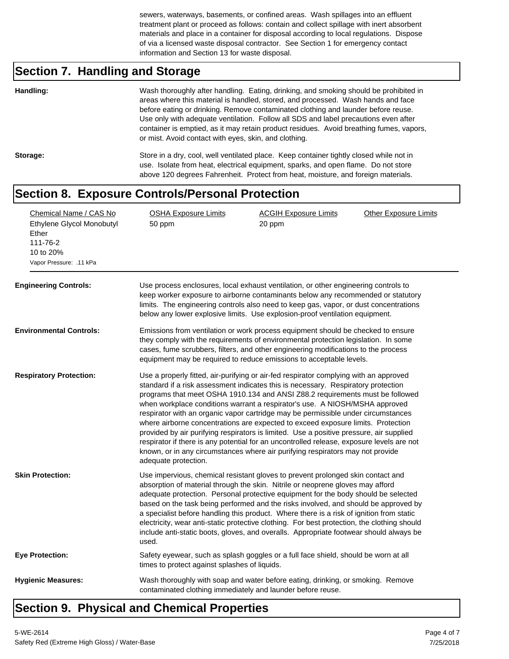sewers, waterways, basements, or confined areas. Wash spillages into an effluent treatment plant or proceed as follows: contain and collect spillage with inert absorbent materials and place in a container for disposal according to local regulations. Dispose of via a licensed waste disposal contractor. See Section 1 for emergency contact information and Section 13 for waste disposal.

# **Section 7. Handling and Storage**

| Handling: | Wash thoroughly after handling. Eating, drinking, and smoking should be prohibited in<br>areas where this material is handled, stored, and processed. Wash hands and face<br>before eating or drinking. Remove contaminated clothing and launder before reuse.<br>Use only with adequate ventilation. Follow all SDS and label precautions even after<br>container is emptied, as it may retain product residues. Avoid breathing fumes, vapors,<br>or mist. Avoid contact with eyes, skin, and clothing. |
|-----------|-----------------------------------------------------------------------------------------------------------------------------------------------------------------------------------------------------------------------------------------------------------------------------------------------------------------------------------------------------------------------------------------------------------------------------------------------------------------------------------------------------------|
| Storage:  | Store in a dry, cool, well ventilated place. Keep container tightly closed while not in<br>use. Isolate from heat, electrical equipment, sparks, and open flame. Do not store<br>above 120 degrees Fahrenheit. Protect from heat, moisture, and foreign materials.                                                                                                                                                                                                                                        |

#### **Section 8. Exposure Controls/Personal Protection**

| Chemical Name / CAS No<br>Ethylene Glycol Monobutyl<br>Ether<br>111-76-2<br>10 to 20%<br>Vapor Pressure: .11 kPa<br><b>Engineering Controls:</b> | <b>OSHA Exposure Limits</b><br>50 ppm<br>Use process enclosures, local exhaust ventilation, or other engineering controls to<br>keep worker exposure to airborne contaminants below any recommended or statutory<br>limits. The engineering controls also need to keep gas, vapor, or dust concentrations<br>below any lower explosive limits. Use explosion-proof ventilation equipment.                                                                                                                                                                                                                                                                                                                                                                                                                             | <b>ACGIH Exposure Limits</b><br>20 ppm | <b>Other Exposure Limits</b> |
|--------------------------------------------------------------------------------------------------------------------------------------------------|-----------------------------------------------------------------------------------------------------------------------------------------------------------------------------------------------------------------------------------------------------------------------------------------------------------------------------------------------------------------------------------------------------------------------------------------------------------------------------------------------------------------------------------------------------------------------------------------------------------------------------------------------------------------------------------------------------------------------------------------------------------------------------------------------------------------------|----------------------------------------|------------------------------|
| <b>Environmental Controls:</b>                                                                                                                   | Emissions from ventilation or work process equipment should be checked to ensure<br>they comply with the requirements of environmental protection legislation. In some<br>cases, fume scrubbers, filters, and other engineering modifications to the process<br>equipment may be required to reduce emissions to acceptable levels.                                                                                                                                                                                                                                                                                                                                                                                                                                                                                   |                                        |                              |
| <b>Respiratory Protection:</b>                                                                                                                   | Use a properly fitted, air-purifying or air-fed respirator complying with an approved<br>standard if a risk assessment indicates this is necessary. Respiratory protection<br>programs that meet OSHA 1910.134 and ANSI Z88.2 requirements must be followed<br>when workplace conditions warrant a respirator's use. A NIOSH/MSHA approved<br>respirator with an organic vapor cartridge may be permissible under circumstances<br>where airborne concentrations are expected to exceed exposure limits. Protection<br>provided by air purifying respirators is limited. Use a positive pressure, air supplied<br>respirator if there is any potential for an uncontrolled release, exposure levels are not<br>known, or in any circumstances where air purifying respirators may not provide<br>adequate protection. |                                        |                              |
| <b>Skin Protection:</b>                                                                                                                          | Use impervious, chemical resistant gloves to prevent prolonged skin contact and<br>absorption of material through the skin. Nitrile or neoprene gloves may afford<br>adequate protection. Personal protective equipment for the body should be selected<br>based on the task being performed and the risks involved, and should be approved by<br>a specialist before handling this product. Where there is a risk of ignition from static<br>electricity, wear anti-static protective clothing. For best protection, the clothing should<br>include anti-static boots, gloves, and overalls. Appropriate footwear should always be<br>used.                                                                                                                                                                          |                                        |                              |
| <b>Eye Protection:</b>                                                                                                                           | Safety eyewear, such as splash goggles or a full face shield, should be worn at all<br>times to protect against splashes of liquids.                                                                                                                                                                                                                                                                                                                                                                                                                                                                                                                                                                                                                                                                                  |                                        |                              |
| <b>Hygienic Measures:</b>                                                                                                                        | Wash thoroughly with soap and water before eating, drinking, or smoking. Remove<br>contaminated clothing immediately and launder before reuse.                                                                                                                                                                                                                                                                                                                                                                                                                                                                                                                                                                                                                                                                        |                                        |                              |

### **Section 9. Physical and Chemical Properties**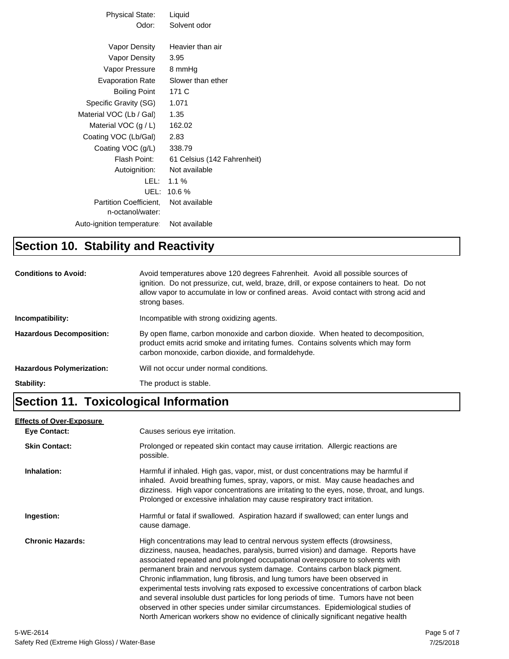| Physical State:           | Liquid                      |
|---------------------------|-----------------------------|
| Odor:                     | Solvent odor                |
|                           |                             |
| Vapor Density             | Heavier than air            |
| Vapor Density             | 3.95                        |
| Vapor Pressure            | 8 mmHg                      |
| Evaporation Rate          | Slower than ether           |
| Boiling Point             | 171 C                       |
| Specific Gravity (SG)     | 1.071                       |
| Material VOC (Lb / Gal)   | 1.35                        |
| Material VOC $(g/L)$      | 162.02                      |
| Coating VOC (Lb/Gal)      | 2.83                        |
| Coating VOC (g/L)         | 338.79                      |
| Flash Point:              | 61 Celsius (142 Fahrenheit) |
| Autoignition:             | Not available               |
| LEL: L                    | $1.1\%$                     |
| UEL:                      | 10.6%                       |
| Partition Coefficient.    | Not available               |
| n-octanol/water:          |                             |
| Auto-ignition temperature | Not available               |
|                           |                             |

#### **Section 10. Stability and Reactivity**

| <b>Conditions to Avoid:</b>      | Avoid temperatures above 120 degrees Fahrenheit. Avoid all possible sources of<br>ignition. Do not pressurize, cut, weld, braze, drill, or expose containers to heat. Do not<br>allow vapor to accumulate in low or confined areas. Avoid contact with strong acid and<br>strong bases. |
|----------------------------------|-----------------------------------------------------------------------------------------------------------------------------------------------------------------------------------------------------------------------------------------------------------------------------------------|
| Incompatibility:                 | Incompatible with strong oxidizing agents.                                                                                                                                                                                                                                              |
| <b>Hazardous Decomposition:</b>  | By open flame, carbon monoxide and carbon dioxide. When heated to decomposition,<br>product emits acrid smoke and irritating fumes. Contains solvents which may form<br>carbon monoxide, carbon dioxide, and formaldehyde.                                                              |
| <b>Hazardous Polymerization:</b> | Will not occur under normal conditions.                                                                                                                                                                                                                                                 |
| Stability:                       | The product is stable.                                                                                                                                                                                                                                                                  |

#### **Section 11. Toxicological Information**

#### **Eye Contact: Skin Contact:** Prolonged or repeated skin contact may cause irritation. Allergic reactions are possible. **Inhalation:** Harmful if inhaled. High gas, vapor, mist, or dust concentrations may be harmful if inhaled. Avoid breathing fumes, spray, vapors, or mist. May cause headaches and dizziness. High vapor concentrations are irritating to the eyes, nose, throat, and lungs. Prolonged or excessive inhalation may cause respiratory tract irritation. **Ingestion:** Harmful or fatal if swallowed. Aspiration hazard if swallowed; can enter lungs and cause damage. **Chronic Hazards:** High concentrations may lead to central nervous system effects (drowsiness, dizziness, nausea, headaches, paralysis, burred vision) and damage. Reports have associated repeated and prolonged occupational overexposure to solvents with permanent brain and nervous system damage. Contains carbon black pigment. Chronic inflammation, lung fibrosis, and lung tumors have been observed in experimental tests involving rats exposed to excessive concentrations of carbon black and several insoluble dust particles for long periods of time. Tumors have not been observed in other species under similar circumstances. Epidemiological studies of North American workers show no evidence of clinically significant negative health **Effects of Over-Exposure** Causes serious eye irritation.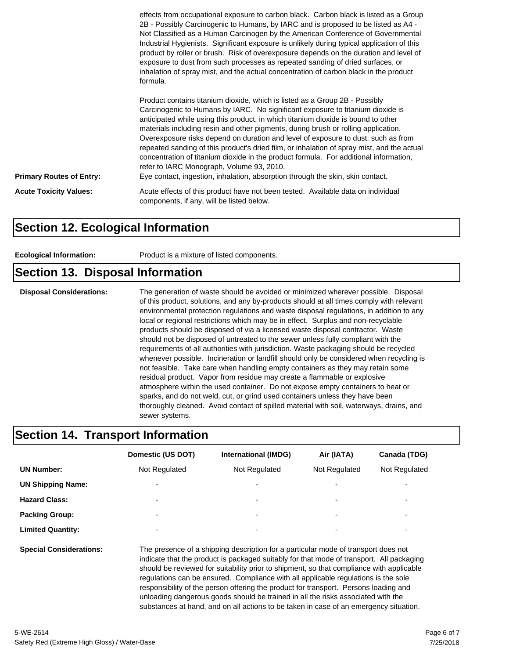|                                 | effects from occupational exposure to carbon black. Carbon black is listed as a Group<br>2B - Possibly Carcinogenic to Humans, by IARC and is proposed to be listed as A4 -<br>Not Classified as a Human Carcinogen by the American Conference of Governmental<br>Industrial Hygienists. Significant exposure is unlikely during typical application of this<br>product by roller or brush. Risk of overexposure depends on the duration and level of<br>exposure to dust from such processes as repeated sanding of dried surfaces, or<br>inhalation of spray mist, and the actual concentration of carbon black in the product<br>formula.                                                                                                        |
|---------------------------------|-----------------------------------------------------------------------------------------------------------------------------------------------------------------------------------------------------------------------------------------------------------------------------------------------------------------------------------------------------------------------------------------------------------------------------------------------------------------------------------------------------------------------------------------------------------------------------------------------------------------------------------------------------------------------------------------------------------------------------------------------------|
| <b>Primary Routes of Entry:</b> | Product contains titanium dioxide, which is listed as a Group 2B - Possibly<br>Carcinogenic to Humans by IARC. No significant exposure to titanium dioxide is<br>anticipated while using this product, in which titanium dioxide is bound to other<br>materials including resin and other pigments, during brush or rolling application.<br>Overexposure risks depend on duration and level of exposure to dust, such as from<br>repeated sanding of this product's dried film, or inhalation of spray mist, and the actual<br>concentration of titanium dioxide in the product formula. For additional information,<br>refer to IARC Monograph, Volume 93, 2010.<br>Eye contact, ingestion, inhalation, absorption through the skin, skin contact. |
| <b>Acute Toxicity Values:</b>   | Acute effects of this product have not been tested. Available data on individual<br>components, if any, will be listed below.                                                                                                                                                                                                                                                                                                                                                                                                                                                                                                                                                                                                                       |

#### **Section 12. Ecological Information**

| Product is a mixture of listed components.<br><b>Ecological Information:</b> |  |
|------------------------------------------------------------------------------|--|
|------------------------------------------------------------------------------|--|

#### **Section 13. Disposal Information**

**Disposal Considerations:** The generation of waste should be avoided or minimized wherever possible. Disposal of this product, solutions, and any by-products should at all times comply with relevant environmental protection regulations and waste disposal regulations, in addition to any local or regional restrictions which may be in effect. Surplus and non-recyclable products should be disposed of via a licensed waste disposal contractor. Waste should not be disposed of untreated to the sewer unless fully compliant with the requirements of all authorities with jurisdiction. Waste packaging should be recycled whenever possible. Incineration or landfill should only be considered when recycling is not feasible. Take care when handling empty containers as they may retain some residual product. Vapor from residue may create a flammable or explosive atmosphere within the used container. Do not expose empty containers to heat or sparks, and do not weld, cut, or grind used containers unless they have been thoroughly cleaned. Avoid contact of spilled material with soil, waterways, drains, and sewer systems.

#### **Section 14. Transport Information**

|                                | Domestic (US DOT)                                                                                                                                                                                                                                                          | <b>International (IMDG)</b> | Air (IATA)    | Canada (TDG)  |
|--------------------------------|----------------------------------------------------------------------------------------------------------------------------------------------------------------------------------------------------------------------------------------------------------------------------|-----------------------------|---------------|---------------|
| <b>UN Number:</b>              | Not Regulated                                                                                                                                                                                                                                                              | Not Regulated               | Not Regulated | Not Regulated |
| <b>UN Shipping Name:</b>       |                                                                                                                                                                                                                                                                            |                             |               | -             |
| <b>Hazard Class:</b>           | $\overline{\phantom{0}}$                                                                                                                                                                                                                                                   | $\overline{\phantom{0}}$    |               | ۰             |
| <b>Packing Group:</b>          | $\overline{\phantom{a}}$                                                                                                                                                                                                                                                   | $\overline{\phantom{0}}$    |               | -             |
| <b>Limited Quantity:</b>       |                                                                                                                                                                                                                                                                            |                             |               | -             |
| <b>Special Considerations:</b> | The presence of a shipping description for a particular mode of transport does not<br>indicate that the product is packaged suitably for that mode of transport. All packaging<br>should be reviewed for suitability prior to shipment, so that compliance with applicable |                             |               |               |

regulations can be ensured. Compliance with all applicable regulations is the sole responsibility of the person offering the product for transport. Persons loading and unloading dangerous goods should be trained in all the risks associated with the substances at hand, and on all actions to be taken in case of an emergency situation.